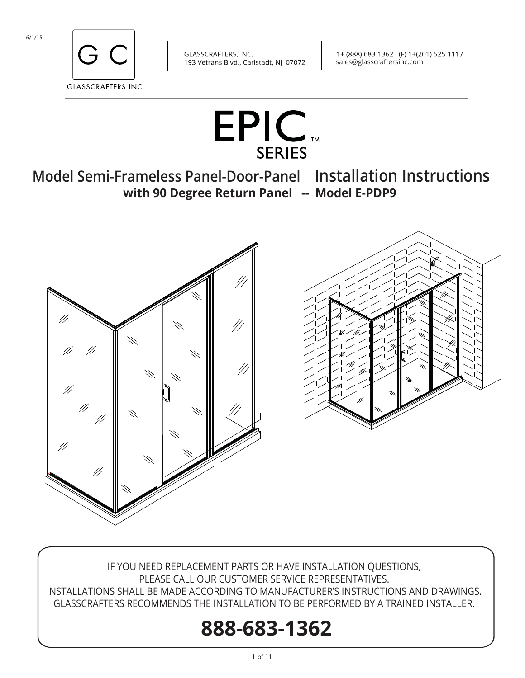

1+ (888) 683-1362 (F) 1+(201) 525-1117 sales@glasscraftersinc.com



**Model Semi-Frameless Panel-Door-Panel Installation Instructions with 90 Degree Return Panel -- Model E-PDP9** 





IF YOU NEED REPLACEMENT PARTS OR HAVE INSTALLATION QUESTIONS, PLEASE CALL OUR CUSTOMER SERVICE REPRESENTATIVES. INSTALLATIONS SHALL BE MADE ACCORDING TO MANUFACTURER'S INSTRUCTIONS AND DRAWINGS. GLASSCRAFTERS RECOMMENDS THE INSTALLATION TO BE PERFORMED BY A TRAINED INSTALLER.

# **888-683-1362**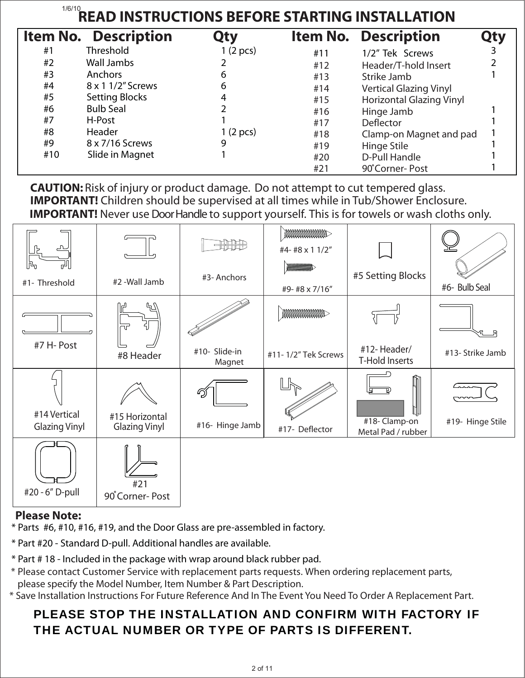#### **READ INSTRUCTIONS BEFORE STARTING INSTALLATION** 1/6/10

|     | <b>Item No. Description</b> | Qtv       |     | <b>Item No. Description</b>     | Otv |
|-----|-----------------------------|-----------|-----|---------------------------------|-----|
| #1  | Threshold                   | 1 (2 pcs) | #11 | 1/2" Tek Screws                 |     |
| #2  | Wall Jambs                  |           | #12 | Header/T-hold Insert            |     |
| #3  | Anchors                     | 6         | #13 | Strike Jamb                     |     |
| #4  | 8 x 1 1/2" Screws           | 6         | #14 | <b>Vertical Glazing Vinyl</b>   |     |
| #5  | <b>Setting Blocks</b>       |           | #15 | <b>Horizontal Glazing Vinyl</b> |     |
| #6  | <b>Bulb Seal</b>            |           | #16 | Hinge Jamb                      |     |
| #7  | H-Post                      |           | #17 | Deflector                       |     |
| #8  | Header                      | 1(2 pcs)  | #18 | Clamp-on Magnet and pad         |     |
| #9  | 8 x 7/16 Screws             | 9         | #19 | Hinge Stile                     |     |
| #10 | Slide in Magnet             |           | #20 | D-Pull Handle                   |     |
|     |                             |           | #21 | 90°Corner-Post                  |     |

 **CAUTION:** Risk of injury or product damage. Do not attempt to cut tempered glass. **IMPORTANT!** Children should be supervised at all times while in Tub/Shower Enclosure. **IMPORTANT!** Never use Door Handle to support yourself. This is for towels or wash cloths only.

| یے<br>ſĻ                             |                                        | $\frac{1}{100}$         | <b>MANAMANAMAN</b><br>#4-#8 x 1 1/2" |                                    |                  |
|--------------------------------------|----------------------------------------|-------------------------|--------------------------------------|------------------------------------|------------------|
| 기<br>lr<br>#1- Threshold             | #2 -Wall Jamb                          | #3- Anchors             | <b>MANAMANANA</b><br>#9-#8 x 7/16"   | #5 Setting Blocks                  | #6- Bulb Seal    |
|                                      | 41<br>لہ <br>4J<br>ਜਾ                  |                         | <b>MANAMANAMANAMI</b>                |                                    |                  |
| #7 H- Post                           | #8 Header                              | #10- Slide-in<br>Magnet | #11-1/2" Tek Screws                  | #12-Header/<br>T-Hold Inserts      | #13- Strike Jamb |
|                                      |                                        | Ŋ                       |                                      | LT<br>1                            |                  |
| #14 Vertical<br><b>Glazing Vinyl</b> | #15 Horizontal<br><b>Glazing Vinyl</b> | #16- Hinge Jamb         | #17- Deflector                       | #18-Clamp-on<br>Metal Pad / rubber | #19- Hinge Stile |
| #20 - 6" D-pull                      | #21<br>90 <sup>°</sup> Corner-Post     |                         |                                      |                                    |                  |

# **Please Note:**

- \* Parts #6, #10, #16, #19, and the Door Glass are pre-assembled in factory.
- \* Part #20 Standard D-pull. Additional handles are available.
- \* Part # 18 Included in the package with wrap around black rubber pad.
- \* Please contact Customer Service with replacement parts requests. When ordering replacement parts, please specify the Model Number, Item Number & Part Description.
- \* Save Installation Instructions For Future Reference And In The Event You Need To Order A Replacement Part.

# PLEASE STOP THE INSTALLATION AND CONFIRM WITH FACTORY IF THE ACTUAL NUMBER OR TYPE OF PARTS IS DIFFERENT.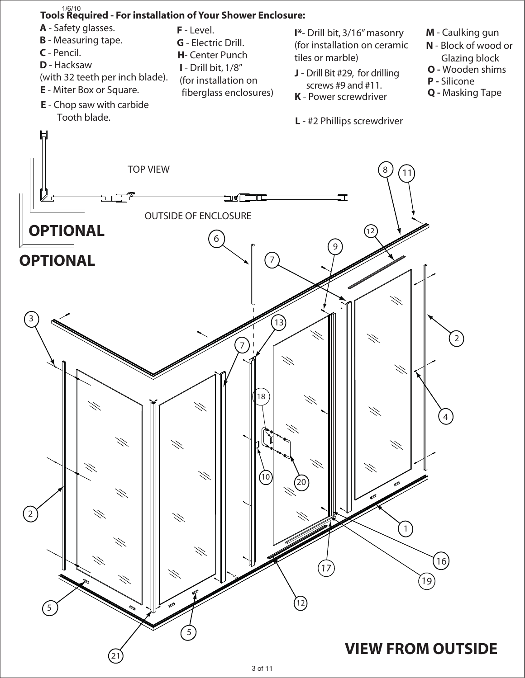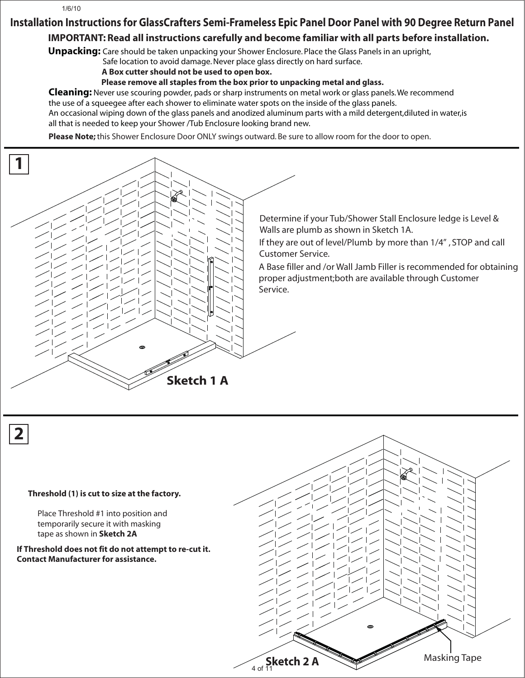1/6/10

# **Installation Instructions for GlassCrafters Semi-Frameless Epic Panel Door Panel with 90 Degree Return Panel**

### **IMPORTANT: Read all instructions carefully and become familiar with all parts before installation.**

**Unpacking:** Care should be taken unpacking your Shower Enclosure. Place the Glass Panels in an upright,

Safe location to avoid damage. Never place glass directly on hard surface.

 **A Box cutter should not be used to open box.**

 **Please remove all staples from the box prior to unpacking metal and glass.**

**Cleaning:** Never use scouring powder, pads or sharp instruments on metal work or glass panels. We recommend the use of a squeegee after each shower to eliminate water spots on the inside of the glass panels.

An occasional wiping down of the glass panels and anodized aluminum parts with a mild detergent,diluted in water,is all that is needed to keep your Shower /Tub Enclosure looking brand new.

**Please Note;** this Shower Enclosure Door ONLY swings outward. Be sure to allow room for the door to open.



**2**

#### **Threshold (1) is cut to size at the factory.**

Place Threshold #1 into position and temporarily secure it with masking tape as shown in **Sketch 2A**

**If Threshold does not fit do not attempt to re-cut it. Contact Manufacturer for assistance.** 

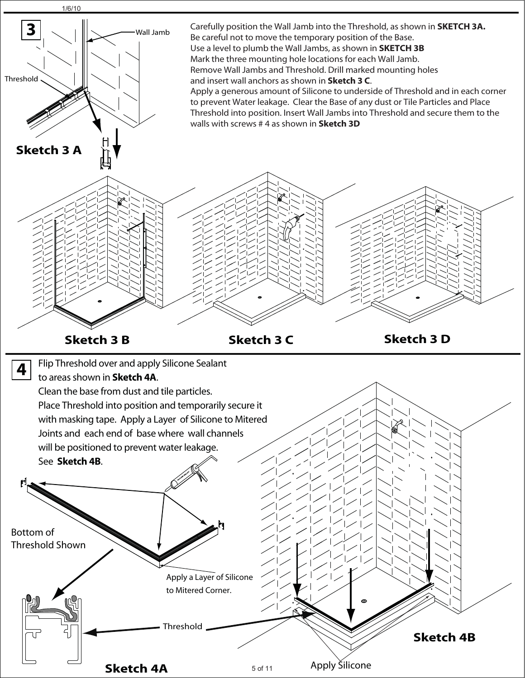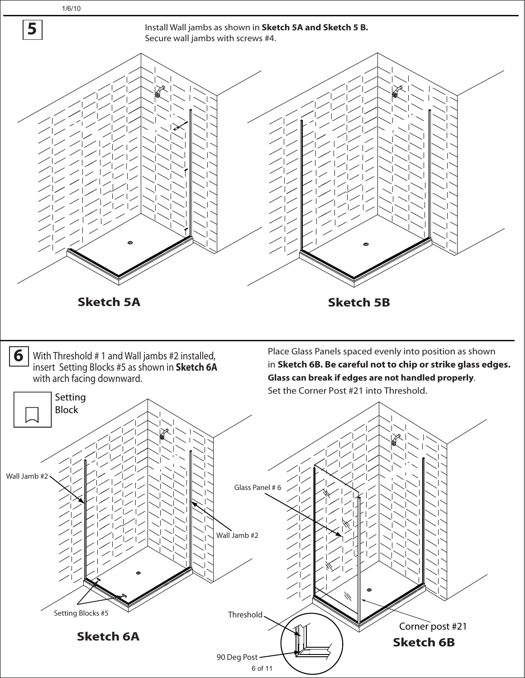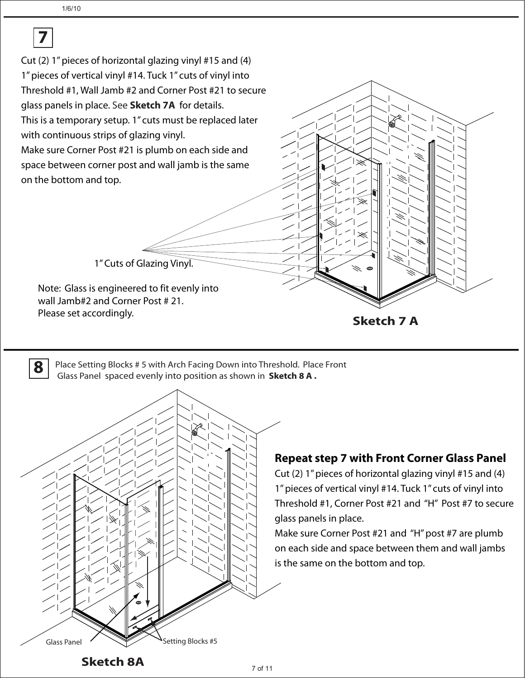

**8** Place Setting Blocks # 5 with Arch Facing Down into Threshold. Place Front Glass Panel spaced evenly into position as shown in **Sketch 8 A .**



# **Repeat step 7 with Front Corner Glass Panel**

Cut (2) 1" pieces of horizontal glazing vinyl #15 and (4) 1" pieces of vertical vinyl #14. Tuck 1" cuts of vinyl into Threshold #1, Corner Post #21 and "H" Post #7 to secure glass panels in place.

Make sure Corner Post #21 and "H" post #7 are plumb on each side and space between them and wall jambs is the same on the bottom and top.

# **Sketch 8A**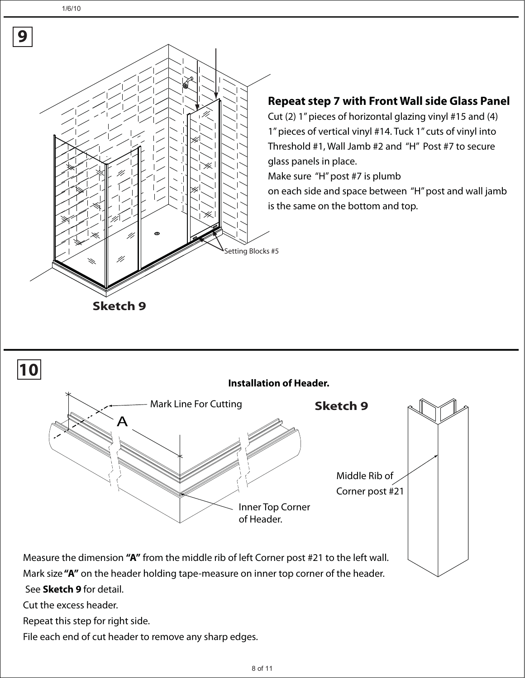



Measure the dimension **"A"** from the middle rib of left Corner post #21 to the left wall.

Mark size **"A"** on the header holding tape-measure on inner top corner of the header.

See **Sketch 9** for detail.

Cut the excess header.

Repeat this step for right side.

File each end of cut header to remove any sharp edges.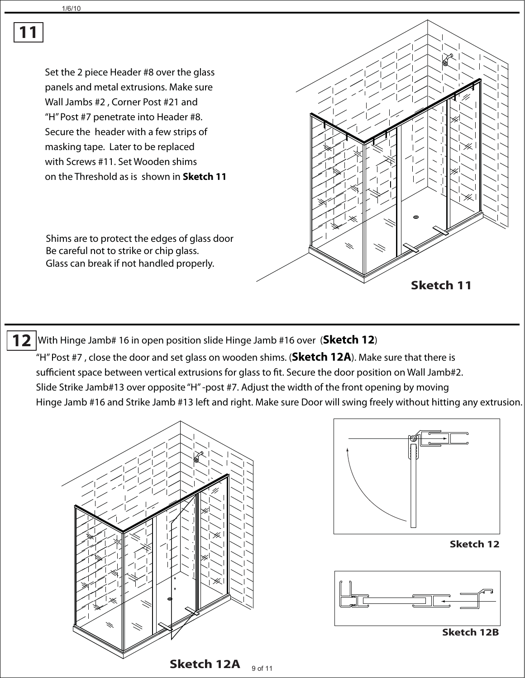Set the 2 piece Header #8 over the glass panels and metal extrusions. Make sure Wall Jambs #2 , Corner Post #21 and "H" Post #7 penetrate into Header #8. Secure the header with a few strips of masking tape. Later to be replaced with Screws #11. Set Wooden shims on the Threshold as is shown in **Sketch 11**

Shims are to protect the edges of glass door Be careful not to strike or chip glass. Glass can break if not handled properly.



**12** With Hinge Jamb# 16 in open position slide Hinge Jamb #16 over (**Sketch 12**) "H" Post #7 , close the door and set glass on wooden shims. (**Sketch 12A**). Make sure that there is sufficient space between vertical extrusions for glass to fit. Secure the door position on Wall Jamb#2. Slide Strike Jamb#13 over opposite "H" -post #7. Adjust the width of the front opening by moving Hinge Jamb #16 and Strike Jamb #13 left and right. Make sure Door will swing freely without hitting any extrusion.









**Sketch 12B**

**Sketch 12A 90f 11**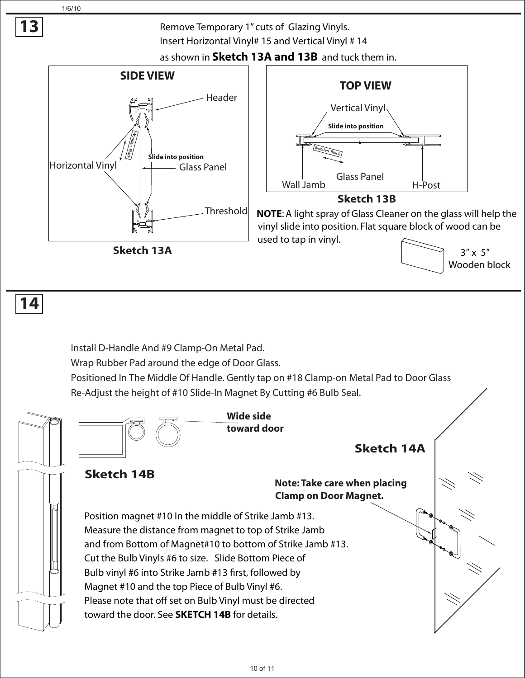1/6/10

**13**

Remove Temporary 1" cuts of Glazing Vinyls. Insert Horizontal Vinyl# 15 and Vertical Vinyl # 14

as shown in **Sketch 13A and 13B** and tuck them in.



**14**

Install D-Handle And #9 Clamp-On Metal Pad. Wrap Rubber Pad around the edge of Door Glass. Positioned In The Middle Of Handle. Gently tap on #18 Clamp-on Metal Pad to Door Glass Re-Adjust the height of #10 Slide-In Magnet By Cutting #6 Bulb Seal.